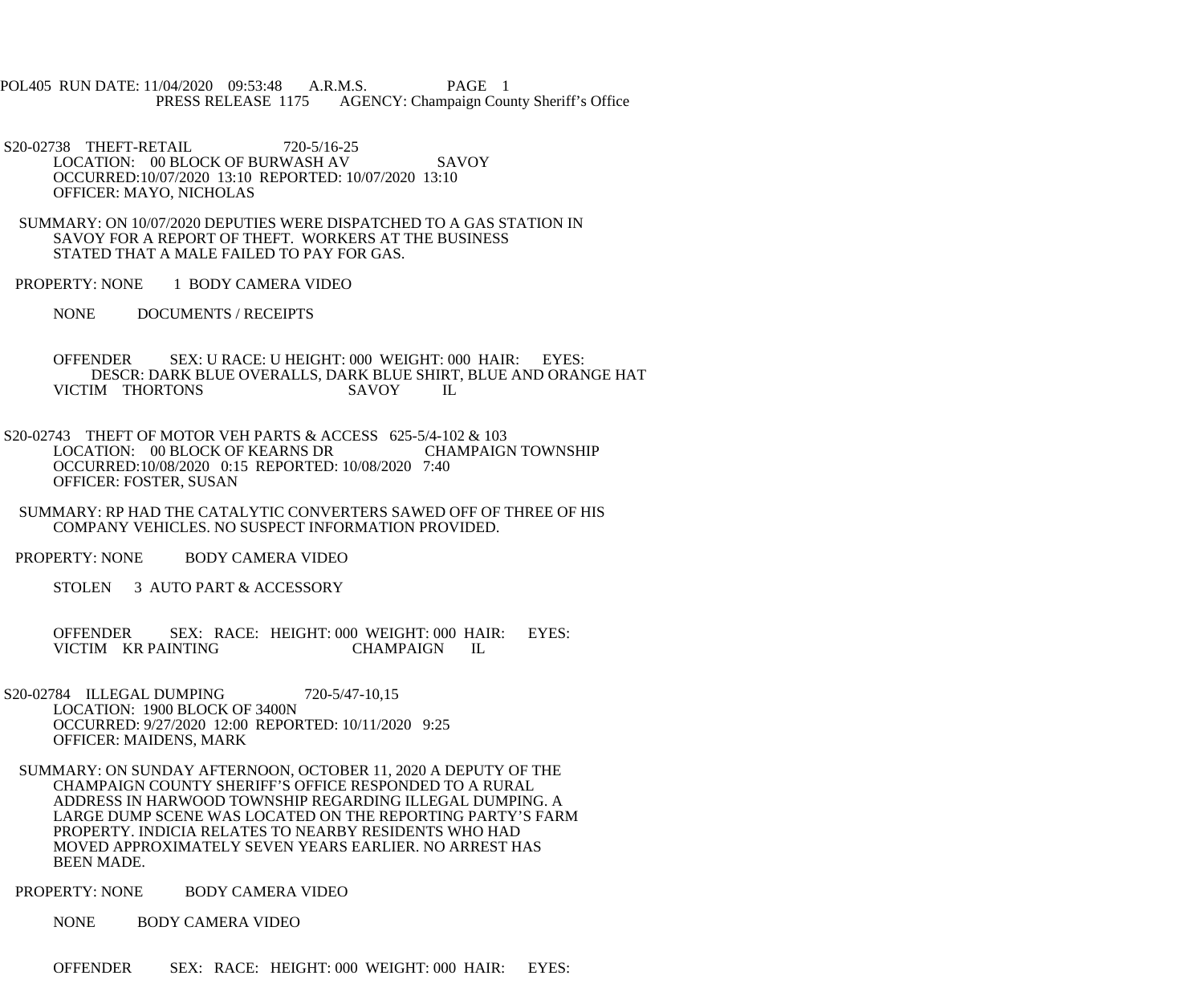POL405 RUN DATE: 11/04/2020 09:53:48 A.R.M.S. PAGE 1<br>PRESS RELEASE 1175 AGENCY: Champaign Cou AGENCY: Champaign County Sheriff's Office

S20-02738 THEFT-RETAIL 720-5/16-25 LOCATION: 00 BLOCK OF BURWASH AV SAVOY OCCURRED:10/07/2020 13:10 REPORTED: 10/07/2020 13:10 OFFICER: MAYO, NICHOLAS

 SUMMARY: ON 10/07/2020 DEPUTIES WERE DISPATCHED TO A GAS STATION IN SAVOY FOR A REPORT OF THEFT. WORKERS AT THE BUSINESS STATED THAT A MALE FAILED TO PAY FOR GAS.

PROPERTY: NONE 1 BODY CAMERA VIDEO

NONE DOCUMENTS / RECEIPTS

 OFFENDER SEX: U RACE: U HEIGHT: 000 WEIGHT: 000 HAIR: EYES: DESCR: DARK BLUE OVERALLS, DARK BLUE SHIRT, BLUE AND ORANGE HAT VICTIM THORTONS SAVOY IL

 S20-02743 THEFT OF MOTOR VEH PARTS & ACCESS 625-5/4-102 & 103 LOCATION: 00 BLOCK OF KEARNS DR CHAMPAIGN TOWNSHIP OCCURRED:10/08/2020 0:15 REPORTED: 10/08/2020 7:40 OFFICER: FOSTER, SUSAN

 SUMMARY: RP HAD THE CATALYTIC CONVERTERS SAWED OFF OF THREE OF HIS COMPANY VEHICLES. NO SUSPECT INFORMATION PROVIDED.

PROPERTY: NONE BODY CAMERA VIDEO

STOLEN 3 AUTO PART & ACCESSORY

 OFFENDER SEX: RACE: HEIGHT: 000 WEIGHT: 000 HAIR: EYES: VICTIM KR PAINTING CHAMPAIGN IL

- S20-02784 ILLEGAL DUMPING 720-5/47-10,15 LOCATION: 1900 BLOCK OF 3400N OCCURRED: 9/27/2020 12:00 REPORTED: 10/11/2020 9:25 OFFICER: MAIDENS, MARK
	- SUMMARY: ON SUNDAY AFTERNOON, OCTOBER 11, 2020 A DEPUTY OF THE CHAMPAIGN COUNTY SHERIFF'S OFFICE RESPONDED TO A RURAL ADDRESS IN HARWOOD TOWNSHIP REGARDING ILLEGAL DUMPING. A LARGE DUMP SCENE WAS LOCATED ON THE REPORTING PARTY'S FARM PROPERTY. INDICIA RELATES TO NEARBY RESIDENTS WHO HAD MOVED APPROXIMATELY SEVEN YEARS EARLIER. NO ARREST HAS BEEN MADE.

PROPERTY: NONE BODY CAMERA VIDEO

NONE BODY CAMERA VIDEO

OFFENDER SEX: RACE: HEIGHT: 000 WEIGHT: 000 HAIR: EYES: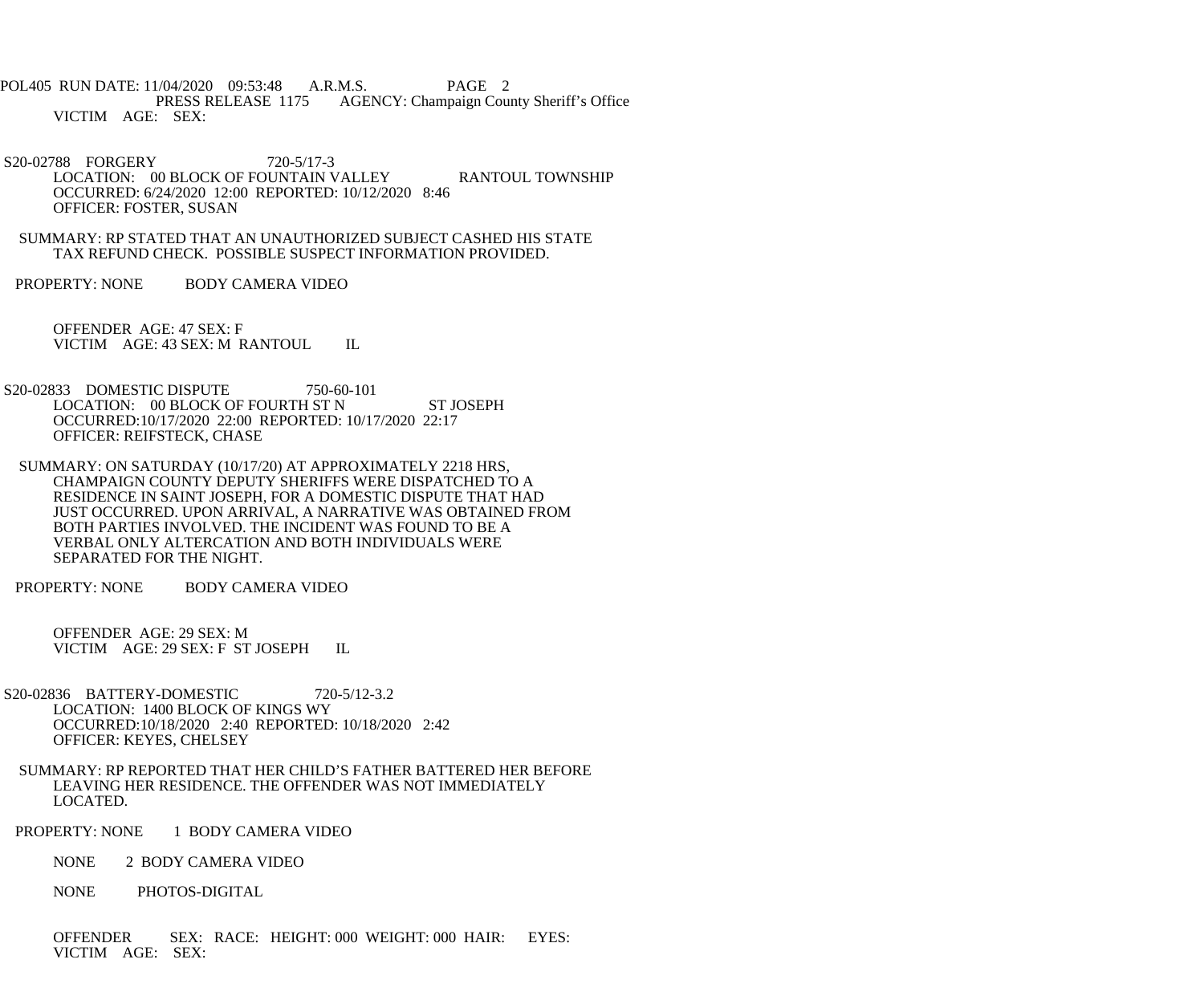POL405 RUN DATE: 11/04/2020 09:53:48 A.R.M.S. PAGE 2<br>PRESS RELEASE 1175 AGENCY: Champaign Cou AGENCY: Champaign County Sheriff's Office VICTIM AGE: SEX:

 S20-02788 FORGERY 720-5/17-3 LOCATION: 00 BLOCK OF FOUNTAIN VALLEY RANTOUL TOWNSHIP OCCURRED: 6/24/2020 12:00 REPORTED: 10/12/2020 8:46 OFFICER: FOSTER, SUSAN

 SUMMARY: RP STATED THAT AN UNAUTHORIZED SUBJECT CASHED HIS STATE TAX REFUND CHECK. POSSIBLE SUSPECT INFORMATION PROVIDED.

PROPERTY: NONE BODY CAMERA VIDEO

 OFFENDER AGE: 47 SEX: F VICTIM AGE: 43 SEX: M RANTOUL IL

S20-02833 DOMESTIC DISPUTE 750-60-101 LOCATION: 00 BLOCK OF FOURTH ST N ST JOSEPH OCCURRED:10/17/2020 22:00 REPORTED: 10/17/2020 22:17 OFFICER: REIFSTECK, CHASE

 SUMMARY: ON SATURDAY (10/17/20) AT APPROXIMATELY 2218 HRS, CHAMPAIGN COUNTY DEPUTY SHERIFFS WERE DISPATCHED TO A RESIDENCE IN SAINT JOSEPH, FOR A DOMESTIC DISPUTE THAT HAD JUST OCCURRED. UPON ARRIVAL, A NARRATIVE WAS OBTAINED FROM BOTH PARTIES INVOLVED. THE INCIDENT WAS FOUND TO BE A VERBAL ONLY ALTERCATION AND BOTH INDIVIDUALS WERE SEPARATED FOR THE NIGHT.

PROPERTY: NONE BODY CAMERA VIDEO

 OFFENDER AGE: 29 SEX: M VICTIM AGE: 29 SEX: F ST JOSEPH IL

- S20-02836 BATTERY-DOMESTIC 720-5/12-3.2 LOCATION: 1400 BLOCK OF KINGS WY OCCURRED:10/18/2020 2:40 REPORTED: 10/18/2020 2:42 OFFICER: KEYES, CHELSEY
	- SUMMARY: RP REPORTED THAT HER CHILD'S FATHER BATTERED HER BEFORE LEAVING HER RESIDENCE. THE OFFENDER WAS NOT IMMEDIATELY LOCATED.

PROPERTY: NONE 1 BODY CAMERA VIDEO

NONE 2 BODY CAMERA VIDEO

NONE PHOTOS-DIGITAL

 OFFENDER SEX: RACE: HEIGHT: 000 WEIGHT: 000 HAIR: EYES: VICTIM AGE: SEX: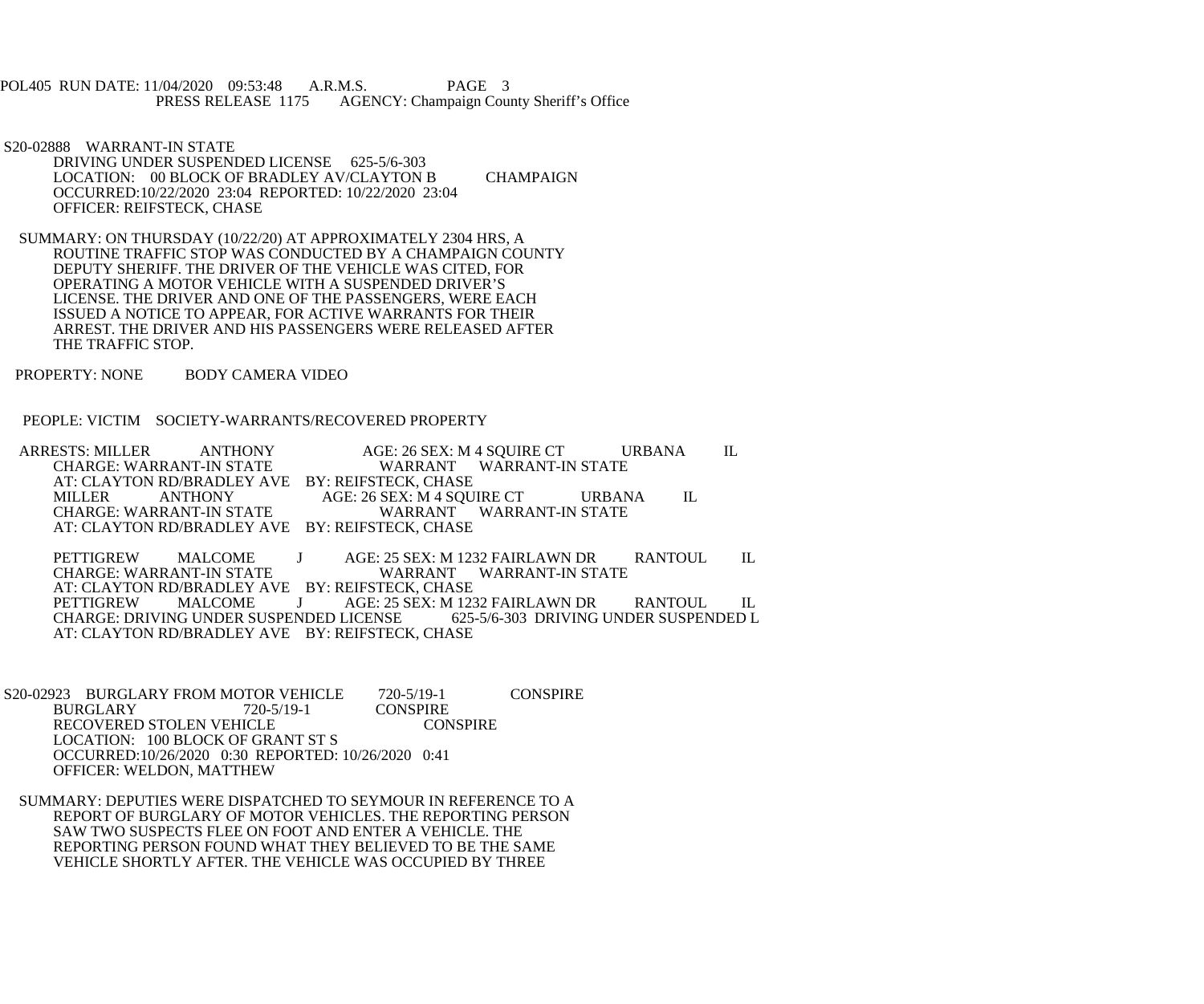POL405 RUN DATE: 11/04/2020 09:53:48 A.R.M.S. PAGE 3<br>PRESS RELEASE 1175 AGENCY: Champaign Cou AGENCY: Champaign County Sheriff's Office

 S20-02888 WARRANT-IN STATE DRIVING UNDER SUSPENDED LICENSE 625-5/6-303 LOCATION: 00 BLOCK OF BRADLEY AV/CLAYTON B CHAMPAIGN OCCURRED:10/22/2020 23:04 REPORTED: 10/22/2020 23:04 OFFICER: REIFSTECK, CHASE

 SUMMARY: ON THURSDAY (10/22/20) AT APPROXIMATELY 2304 HRS, A ROUTINE TRAFFIC STOP WAS CONDUCTED BY A CHAMPAIGN COUNTY DEPUTY SHERIFF. THE DRIVER OF THE VEHICLE WAS CITED, FOR OPERATING A MOTOR VEHICLE WITH A SUSPENDED DRIVER'S LICENSE. THE DRIVER AND ONE OF THE PASSENGERS, WERE EACH ISSUED A NOTICE TO APPEAR, FOR ACTIVE WARRANTS FOR THEIR ARREST. THE DRIVER AND HIS PASSENGERS WERE RELEASED AFTER THE TRAFFIC STOP.

PROPERTY: NONE BODY CAMERA VIDEO

PEOPLE: VICTIM SOCIETY-WARRANTS/RECOVERED PROPERTY

 ARRESTS: MILLER ANTHONY AGE: 26 SEX: M 4 SQUIRE CT URBANA IL WARRANT WARRANT-IN STATE AT: CLAYTON RD/BRADLEY AVE BY: REIFSTECK, CHASE<br>MILLER ANTHONY AGE: 26 SEX: M 4 SOU MILLER ANTHONY AGE: 26 SEX: M 4 SQUIRE CT URBANA IL CHARGE: WARRANT-IN STATE CHARGE: WARRANT-IN STATE WARRANT WARRANT-IN STATE AT: CLAYTON RD/BRADLEY AVE BY: REIFSTECK, CHASE

PETTIGREW MALCOME J AGE: 25 SEX: M 1232 FAIRLAWN DR RANTOUL IL<br>CHARGE: WARRANT-IN STATE WARRANT WARRANT-IN STATE WARRANT WARRANT-IN STATE AT: CLAYTON RD/BRADLEY AVE BY: REIFSTECK, CHASE<br>PETTIGREW MALCOME J AGE: 25 SEX: M 123 PETTIGREW MALCOME J AGE: 25 SEX: M 1232 FAIRLAWN DR RANTOUL IL CHARGE: DRIVING UNDER SUSPENDED LICENSE 625-5/6-303 DRIVING UNDER SUSPENDED L AT: CLAYTON RD/BRADLEY AVE BY: REIFSTECK, CHASE

S20-02923 BURGLARY FROM MOTOR VEHICLE 720-5/19-1 CONSPIRE<br>BURGLARY 720-5/19-1 CONSPIRE BURGLARY 720-5/19-1 CONSPIRE<br>RECOVERED STOLEN VEHICLE CONSPIRE RECOVERED STOLEN VEHICLE LOCATION: 100 BLOCK OF GRANT ST S OCCURRED:10/26/2020 0:30 REPORTED: 10/26/2020 0:41 OFFICER: WELDON, MATTHEW

 SUMMARY: DEPUTIES WERE DISPATCHED TO SEYMOUR IN REFERENCE TO A REPORT OF BURGLARY OF MOTOR VEHICLES. THE REPORTING PERSON SAW TWO SUSPECTS FLEE ON FOOT AND ENTER A VEHICLE. THE REPORTING PERSON FOUND WHAT THEY BELIEVED TO BE THE SAME VEHICLE SHORTLY AFTER. THE VEHICLE WAS OCCUPIED BY THREE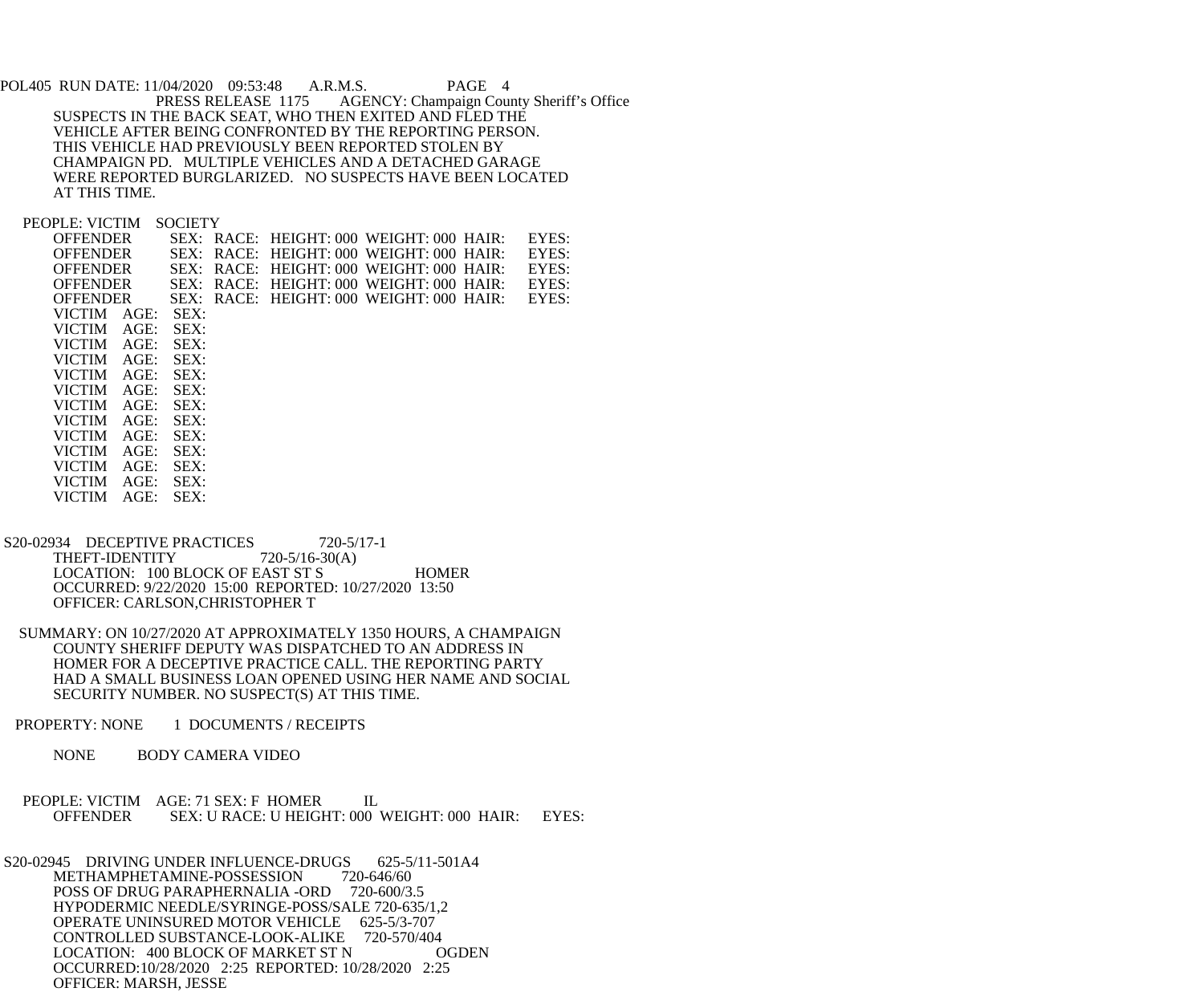POL405 RUN DATE: 11/04/2020 09:53:48 A.R.M.S. PAGE 4<br>PRESS RELEASE 1175 AGENCY: Champaign Cou AGENCY: Champaign County Sheriff's Office SUSPECTS IN THE BACK SEAT, WHO THEN EXITED AND FLED THE VEHICLE AFTER BEING CONFRONTED BY THE REPORTING PERSON. THIS VEHICLE HAD PREVIOUSLY BEEN REPORTED STOLEN BY CHAMPAIGN PD. MULTIPLE VEHICLES AND A DETACHED GARAGE WERE REPORTED BURGLARIZED. NO SUSPECTS HAVE BEEN LOCATED AT THIS TIME.

PEOPLE: VICTIM SOCIETY

VICTIM AGE: SEX:

| <b>OFFENDER</b> |         |      |  | SEX: RACE: HEIGHT: 000 WEIGHT: 000 HAIR: | EYES: |
|-----------------|---------|------|--|------------------------------------------|-------|
| <b>OFFENDER</b> |         |      |  | SEX: RACE: HEIGHT: 000 WEIGHT: 000 HAIR: | EYES: |
| <b>OFFENDER</b> |         |      |  | SEX: RACE: HEIGHT: 000 WEIGHT: 000 HAIR: | EYES: |
| <b>OFFENDER</b> |         |      |  | SEX: RACE: HEIGHT: 000 WEIGHT: 000 HAIR: | EYES: |
| <b>OFFENDER</b> |         |      |  | SEX: RACE: HEIGHT: 000 WEIGHT: 000 HAIR: | EYES: |
| <b>VICTIM</b>   | AGE:    | SEX: |  |                                          |       |
| <b>VICTIM</b>   | $AGE$ : | SEX: |  |                                          |       |
| <b>VICTIM</b>   | $AGE$ : | SEX: |  |                                          |       |
| <b>VICTIM</b>   | $AGE$ : | SEX: |  |                                          |       |
| <b>VICTIM</b>   | $AGE$ : | SEX: |  |                                          |       |
| <b>VICTIM</b>   | $AGE$ : | SEX: |  |                                          |       |
| VICTIM          | AGE:    | SEX: |  |                                          |       |
| <b>VICTIM</b>   | $AGE$ : | SEX: |  |                                          |       |
| <b>VICTIM</b>   | AGE:    | SEX: |  |                                          |       |
| <b>VICTIM</b>   | $AGE$ : | SEX: |  |                                          |       |
| <b>VICTIM</b>   | AGE:    | SEX: |  |                                          |       |
| VICTIM          | AGE:    | SEX: |  |                                          |       |

- S20-02934 DECEPTIVE PRACTICES 720-5/17-1<br>THEFT-IDENTITY 720-5/16-30(A) THEFT-IDENTITY LOCATION: 100 BLOCK OF EAST ST S HOMER OCCURRED: 9/22/2020 15:00 REPORTED: 10/27/2020 13:50 OFFICER: CARLSON,CHRISTOPHER T
- SUMMARY: ON 10/27/2020 AT APPROXIMATELY 1350 HOURS, A CHAMPAIGN COUNTY SHERIFF DEPUTY WAS DISPATCHED TO AN ADDRESS IN HOMER FOR A DECEPTIVE PRACTICE CALL. THE REPORTING PARTY HAD A SMALL BUSINESS LOAN OPENED USING HER NAME AND SOCIAL SECURITY NUMBER. NO SUSPECT(S) AT THIS TIME.
- PROPERTY: NONE 1 DOCUMENTS / RECEIPTS
	- NONE BODY CAMERA VIDEO
- PEOPLE: VICTIM AGE: 71 SEX: F HOMER IL<br>OFFENDER SEX: U RACE: U HEIGHT: 000 SEX: U RACE: U HEIGHT: 000 WEIGHT: 000 HAIR: EYES:

S20-02945 DRIVING UNDER INFLUENCE-DRUGS 625-5/11-501A4<br>METHAMPHETAMINE-POSSESSION 720-646/60 METHAMPHETAMINE-POSSESSION POSS OF DRUG PARAPHERNALIA -ORD 720-600/3.5 HYPODERMIC NEEDLE/SYRINGE-POSS/SALE 720-635/1,2 OPERATE UNINSURED MOTOR VEHICLE 625-5/3-707 CONTROLLED SUBSTANCE-LOOK-ALIKE 720-570/404 LOCATION: 400 BLOCK OF MARKET ST N OGDEN OCCURRED:10/28/2020 2:25 REPORTED: 10/28/2020 2:25 OFFICER: MARSH, JESSE